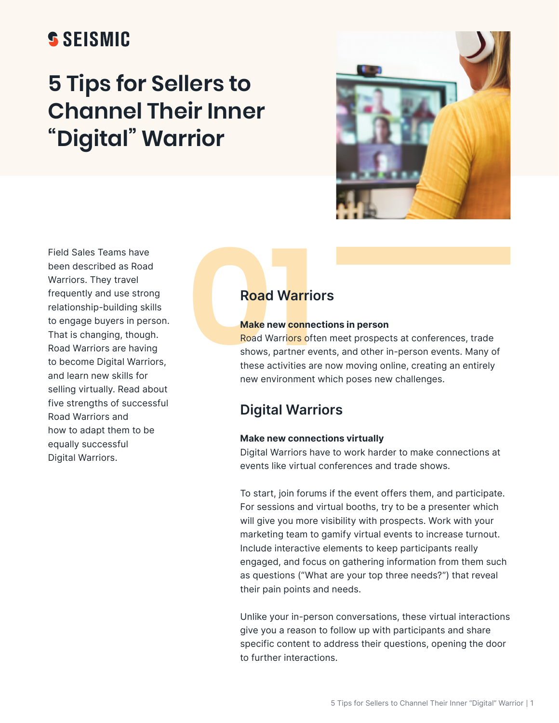# **SSEISMIC**

# **5 Tips for Sellers to Channel Their Inner "Digital" Warrior**



Field Sales Teams have been described as Road Warriors. They travel frequently and use strong relationship-building skills to engage buyers in person. That is changing, though. Road Warriors are having to become Digital Warriors, and learn new skills for selling virtually. Read about five strengths of successful Road Warriors and how to adapt them to be equally successful Digital Warriors.

#### **Make new connections in person**

**020 Warriors**<br> **Make new connectio**<br> **Road Warriors often n**<br>
shows, partner events<br>
these activities are nc<br>
new environment which Road Warriors often meet prospects at conferences, trade shows, partner events, and other in-person events. Many of these activities are now moving online, creating an entirely new environment which poses new challenges.

# **Digital Warriors**

### **Make new connections virtually**

Digital Warriors have to work harder to make connections at events like virtual conferences and trade shows.

To start, join forums if the event offers them, and participate. For sessions and virtual booths, try to be a presenter which will give you more visibility with prospects. Work with your marketing team to gamify virtual events to increase turnout. Include interactive elements to keep participants really engaged, and focus on gathering information from them such as questions ("What are your top three needs?") that reveal their pain points and needs.

Unlike your in-person conversations, these virtual interactions give you a reason to follow up with participants and share specific content to address their questions, opening the door to further interactions.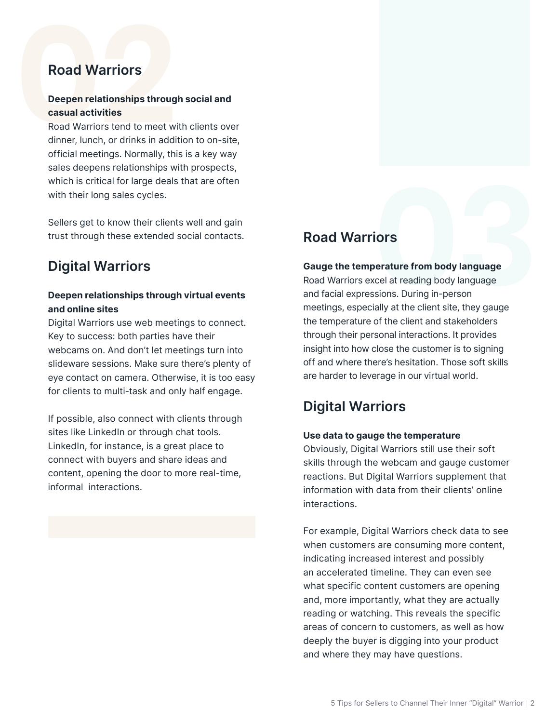## **Deepen relationships through social and casual activities**

**Road Warriors**<br> **Deepen relationships throug casual activities**<br>
Road Warriors tend to meet w<br>
dinner, lunch, or drinks in addi<br>
official meetings. Normally, th<br>
sales deepens relationships w Road Warriors tend to meet with clients over dinner, lunch, or drinks in addition to on-site, official meetings. Normally, this is a key way sales deepens relationships with prospects, which is critical for large deals that are often with their long sales cycles.

> Sellers get to know their clients well and gain trust through these extended social contacts.

# **Digital Warriors**

## **Deepen relationships through virtual events and online sites**

Digital Warriors use web meetings to connect. Key to success: both parties have their webcams on. And don't let meetings turn into slideware sessions. Make sure there's plenty of eye contact on camera. Otherwise, it is too easy for clients to multi-task and only half engage.

If possible, also connect with clients through sites like LinkedIn or through chat tools. LinkedIn, for instance, is a great place to connect with buyers and share ideas and content, opening the door to more real-time, informal interactions.

### **Gauge the temperature from body language**

**Road Warriors**<br> **Cauge the temperature from body language**<br>
Road Warriors excel at reading body language<br>
and facial expressions. During in-person<br>
meetings, especially at the client site, they gauge<br>
the temperature of t Road Warriors excel at reading body language and facial expressions. During in-person meetings, especially at the client site, they gauge the temperature of the client and stakeholders through their personal interactions. It provides insight into how close the customer is to signing off and where there's hesitation. Those soft skills are harder to leverage in our virtual world.

# **Digital Warriors**

### **Use data to gauge the temperature**

Obviously, Digital Warriors still use their soft skills through the webcam and gauge customer reactions. But Digital Warriors supplement that information with data from their clients' online interactions.

For example, Digital Warriors check data to see when customers are consuming more content, indicating increased interest and possibly an accelerated timeline. They can even see what specific content customers are opening and, more importantly, what they are actually reading or watching. This reveals the specific areas of concern to customers, as well as how deeply the buyer is digging into your product and where they may have questions.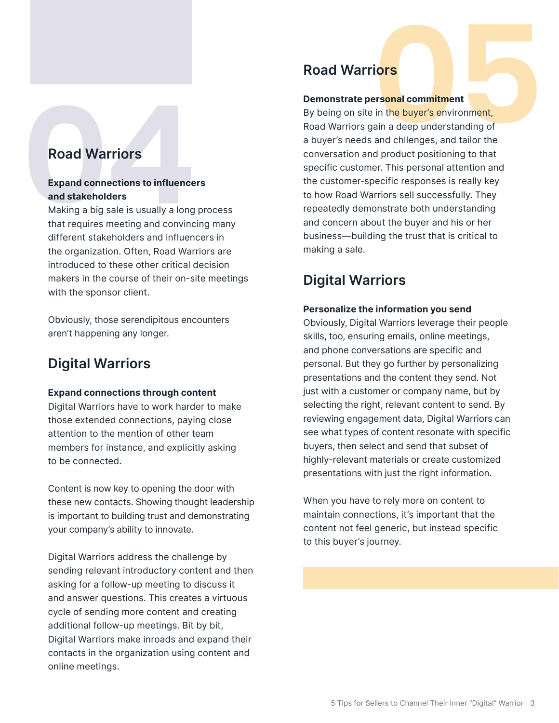# **Expand connections to influencers and stakeholders**

Making a big sale is usually a long process that requires meeting and convincing many different stakeholders and influencers in the organization. Often, Road Warriors are introduced to these other critical decision makers in the course of their on-site meetings with the sponsor client.

Obviously, those serendipitous encounters aren't happening any longer.

# **Digital Warriors**

### **Expand connections through content**

Digital Warriors have to work harder to make those extended connections, paying close attention to the mention of other team members for instance, and explicitly asking to be connected.

Content is now key to opening the door with these new contacts. Showing thought leadership is important to building trust and demonstrating your company's ability to innovate.

Digital Warriors address the challenge by sending relevant introductory content and then asking for a follow-up meeting to discuss it and answer questions. This creates a virtuous cycle of sending more content and creating additional follow-up meetings. Bit by bit, Digital Warriors make inroads and expand their contacts in the organization using content and online meetings.

# **Road Warriors**

### **Demonstrate personal commitment**

**Example 10**<br> **Demonstrate personal commitment**<br>
By being on site in the buyer's environment,<br>
Road Warriors<br> **25 a** buyer's needs and chlenges, and tailor the<br> **26** abuver's needs and chlenges, and tailor the<br> **26 abuve** By being on site in the buyer's environment, Road Warriors gain a deep understanding of a buyer's needs and chllenges, and tailor the conversation and product positioning to that specific customer. This personal attention and the customer-specific responses is really key to how Road Warriors sell successfully. They repeatedly demonstrate both understanding and concern about the buyer and his or her business—building the trust that is critical to making a sale.

# **Digital Warriors**

## **Personalize the information you send**

Obviously, Digital Warriors leverage their people skills, too, ensuring emails, online meetings, and phone conversations are specific and personal. But they go further by personalizing presentations and the content they send. Not just with a customer or company name, but by selecting the right, relevant content to send. By reviewing engagement data, Digital Warriors can see what types of content resonate with specific buyers, then select and send that subset of highly-relevant materials or create customized presentations with just the right information.

When you have to rely more on content to maintain connections, it's important that the content not feel generic, but instead specific to this buyer's journey.